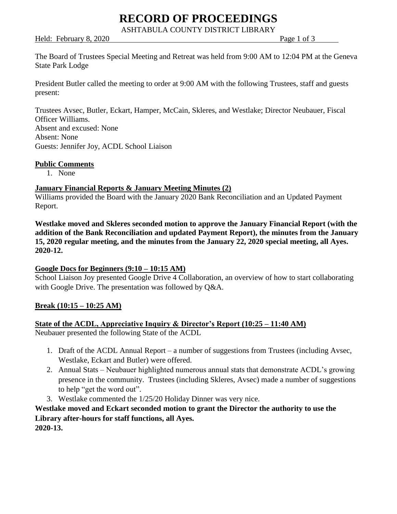# **RECORD OF PROCEEDINGS**

ASHTABULA COUNTY DISTRICT LIBRARY

Held: February 8, 2020 **Page 1 of 3** 

The Board of Trustees Special Meeting and Retreat was held from 9:00 AM to 12:04 PM at the Geneva State Park Lodge

President Butler called the meeting to order at 9:00 AM with the following Trustees, staff and guests present:

Trustees Avsec, Butler, Eckart, Hamper, McCain, Skleres, and Westlake; Director Neubauer, Fiscal Officer Williams. Absent and excused: None Absent: None Guests: Jennifer Joy, ACDL School Liaison

#### **Public Comments**

1. None

#### **January Financial Reports & January Meeting Minutes (2)**

Williams provided the Board with the January 2020 Bank Reconciliation and an Updated Payment Report.

**Westlake moved and Skleres seconded motion to approve the January Financial Report (with the addition of the Bank Reconciliation and updated Payment Report), the minutes from the January 15, 2020 regular meeting, and the minutes from the January 22, 2020 special meeting, all Ayes. 2020-12.**

## **Google Docs for Beginners (9:10 – 10:15 AM)**

School Liaison Joy presented Google Drive 4 Collaboration, an overview of how to start collaborating with Google Drive. The presentation was followed by Q&A.

## **Break (10:15 – 10:25 AM)**

## **State of the ACDL, Appreciative Inquiry & Director's Report (10:25 – 11:40 AM)**

Neubauer presented the following State of the ACDL

- 1. Draft of the ACDL Annual Report a number of suggestions from Trustees (including Avsec, Westlake, Eckart and Butler) were offered.
- 2. Annual Stats Neubauer highlighted numerous annual stats that demonstrate ACDL's growing presence in the community. Trustees (including Skleres, Avsec) made a number of suggestions to help "get the word out".
- 3. Westlake commented the 1/25/20 Holiday Dinner was very nice.

**Westlake moved and Eckart seconded motion to grant the Director the authority to use the Library after-hours for staff functions, all Ayes. 2020-13.**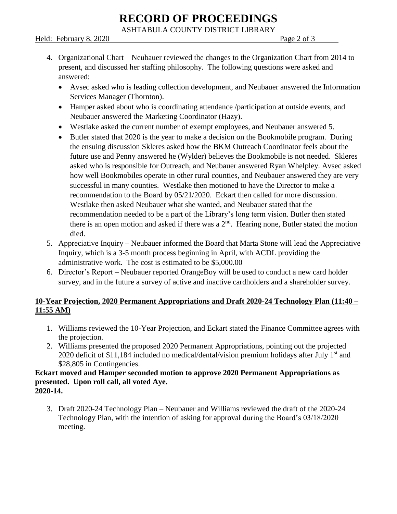# **RECORD OF PROCEEDINGS**

ASHTABULA COUNTY DISTRICT LIBRARY

#### Held: February 8, 2020 **Page 2 of 3**

- 4. Organizational Chart Neubauer reviewed the changes to the Organization Chart from 2014 to present, and discussed her staffing philosophy. The following questions were asked and answered:
	- Avsec asked who is leading collection development, and Neubauer answered the Information Services Manager (Thornton).
	- Hamper asked about who is coordinating attendance /participation at outside events, and Neubauer answered the Marketing Coordinator (Hazy).
	- Westlake asked the current number of exempt employees, and Neubauer answered 5.
	- Butler stated that 2020 is the year to make a decision on the Bookmobile program. During the ensuing discussion Skleres asked how the BKM Outreach Coordinator feels about the future use and Penny answered he (Wylder) believes the Bookmobile is not needed. Skleres asked who is responsible for Outreach, and Neubauer answered Ryan Whelpley. Avsec asked how well Bookmobiles operate in other rural counties, and Neubauer answered they are very successful in many counties. Westlake then motioned to have the Director to make a recommendation to the Board by 05/21/2020. Eckart then called for more discussion. Westlake then asked Neubauer what she wanted, and Neubauer stated that the recommendation needed to be a part of the Library's long term vision. Butler then stated there is an open motion and asked if there was a  $2<sup>nd</sup>$ . Hearing none, Butler stated the motion died.
- 5. Appreciative Inquiry Neubauer informed the Board that Marta Stone will lead the Appreciative Inquiry, which is a 3-5 month process beginning in April, with ACDL providing the administrative work. The cost is estimated to be \$5,000.00
- 6. Director's Report Neubauer reported OrangeBoy will be used to conduct a new card holder survey, and in the future a survey of active and inactive cardholders and a shareholder survey.

# **10-Year Projection, 2020 Permanent Appropriations and Draft 2020-24 Technology Plan (11:40 – 11:55 AM)**

- 1. Williams reviewed the 10-Year Projection, and Eckart stated the Finance Committee agrees with the projection.
- 2. Williams presented the proposed 2020 Permanent Appropriations, pointing out the projected 2020 deficit of \$11,184 included no medical/dental/vision premium holidays after July  $1<sup>st</sup>$  and \$28,805 in Contingencies.

#### **Eckart moved and Hamper seconded motion to approve 2020 Permanent Appropriations as presented. Upon roll call, all voted Aye. 2020-14.**

3. Draft 2020-24 Technology Plan – Neubauer and Williams reviewed the draft of the 2020-24 Technology Plan, with the intention of asking for approval during the Board's 03/18/2020 meeting.